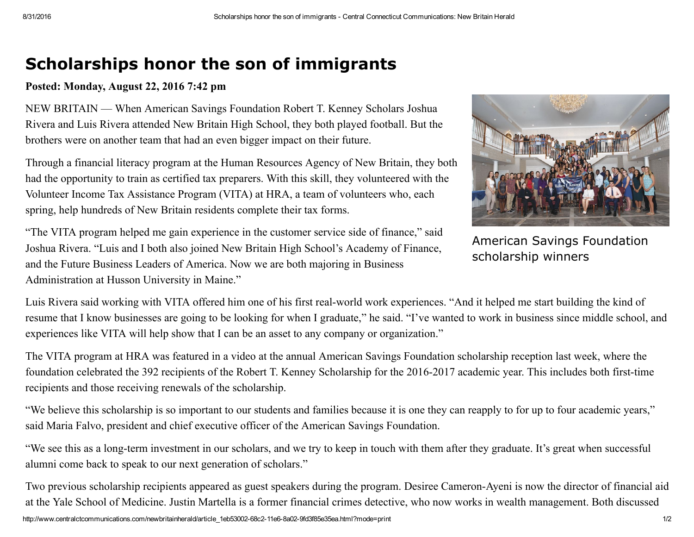## Scholarships honor the son of immigrants

## Posted: Monday, August 22, 2016 7:42 pm

NEW BRITAIN — When American Savings Foundation Robert T. Kenney Scholars Joshua Rivera and Luis Rivera attended New Britain High School, they both played football. But the brothers were on another team that had an even bigger impact on their future.

Through a financial literacy program at the Human Resources Agency of New Britain, they both had the opportunity to train as certified tax preparers. With this skill, they volunteered with the Volunteer Income Tax Assistance Program (VITA) at HRA, a team of volunteers who, each spring, help hundreds of New Britain residents complete their tax forms.



American Savings Foundation scholarship winners

"The VITA program helped me gain experience in the customer service side of finance," said Joshua Rivera. "Luis and I both also joined New Britain High School's Academy of Finance, and the Future Business Leaders of America. Now we are both majoring in Business Administration at Husson University in Maine."

Luis Rivera said working with VITA offered him one of his first real-world work experiences. "And it helped me start building the kind of resume that I know businesses are going to be looking for when I graduate," he said. "I've wanted to work in business since middle school, and experiences like VITA will help show that I can be an asset to any company or organization."

The VITA program at HRA was featured in a video at the annual American Savings Foundation scholarship reception last week, where the foundation celebrated the 392 recipients of the Robert T. Kenney Scholarship for the 2016-2017 academic year. This includes both first-time recipients and those receiving renewals of the scholarship.

"We believe this scholarship is so important to our students and families because it is one they can reapply to for up to four academic years," said Maria Falvo, president and chief executive officer of the American Savings Foundation.

"We see this as a long-term investment in our scholars, and we try to keep in touch with them after they graduate. It's great when successful alumni come back to speak to our next generation of scholars."

Two previous scholarship recipients appeared as guest speakers during the program. Desiree Cameron-Ayeni is now the director of financial aid at the Yale School of Medicine. Justin Martella is a former financial crimes detective, who now works in wealth management. Both discussed